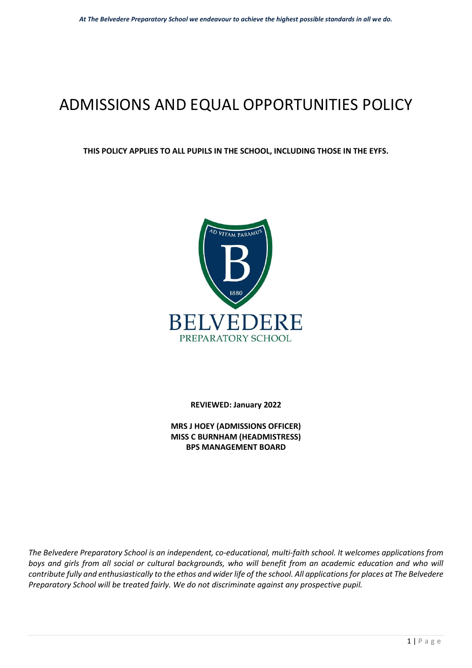# ADMISSIONS AND EQUAL OPPORTUNITIES POLICY

#### **THIS POLICY APPLIES TO ALL PUPILS IN THE SCHOOL, INCLUDING THOSE IN THE EYFS.**



**REVIEWED: January 2022** 

**MRS J HOEY (ADMISSIONS OFFICER) MISS C BURNHAM (HEADMISTRESS) BPS MANAGEMENT BOARD** 

*The Belvedere Preparatory School is an independent, co-educational, multi-faith school. It welcomes applications from*  boys and girls from all social or cultural backgrounds, who will benefit from an academic education and who will *contribute fully and enthusiastically to the ethos and wider life of the school. All applications for places at The Belvedere Preparatory School will be treated fairly. We do not discriminate against any prospective pupil.*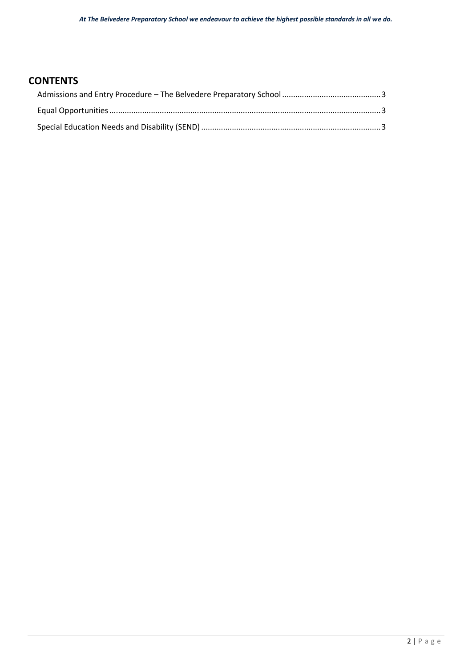## **CONTENTS**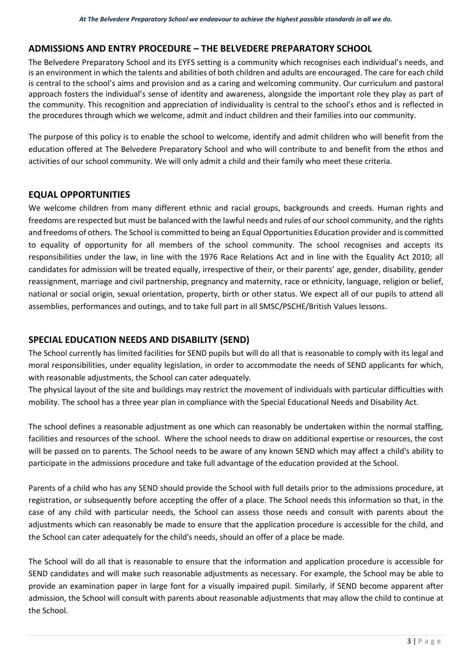## <span id="page-2-0"></span>**ADMISSIONS AND ENTRY PROCEDURE – THE BELVEDERE PREPARATORY SCHOOL**

The Belvedere Preparatory School and its EYFS setting is a community which recognises each individual's needs, and is an environment in which the talents and abilities of both children and adults are encouraged. The care for each child is central to the school's aims and provision and as a caring and welcoming community. Our curriculum and pastoral approach fosters the individual's sense of identity and awareness, alongside the important role they play as part of the community. This recognition and appreciation of individuality is central to the school's ethos and is reflected in the procedures through which we welcome, admit and induct children and their families into our community.

The purpose of this policy is to enable the school to welcome, identify and admit children who will benefit from the education offered at The Belvedere Preparatory School and who will contribute to and benefit from the ethos and activities of our school community. We will only admit a child and their family who meet these criteria.

### <span id="page-2-1"></span>**EQUAL OPPORTUNITIES**

We welcome children from many different ethnic and racial groups, backgrounds and creeds. Human rights and freedoms are respected but must be balanced with the lawful needs and rules of our school community, and the rights and freedoms of others. The School is committed to being an Equal Opportunities Education provider and is committed to equality of opportunity for all members of the school community. The school recognises and accepts its responsibilities under the law, in line with the 1976 Race Relations Act and in line with the Equality Act 2010; all candidates for admission will be treated equally, irrespective of their, or their parents' age, gender, disability, gender reassignment, marriage and civil partnership, pregnancy and maternity, race or ethnicity, language, religion or belief, national or social origin, sexual orientation, property, birth or other status. We expect all of our pupils to attend all assemblies, performances and outings, and to take full part in all SMSC/PSCHE/British Values lessons.

## <span id="page-2-2"></span>**SPECIAL EDUCATION NEEDS AND DISABILITY (SEND)**

The School currently has limited facilities for SEND pupils but will do all that is reasonable to comply with its legal and moral responsibilities, under equality legislation, in order to accommodate the needs of SEND applicants for which, with reasonable adjustments, the School can cater adequately.

The physical layout of the site and buildings may restrict the movement of individuals with particular difficulties with mobility. The school has a three year plan in compliance with the Special Educational Needs and Disability Act.

The school defines a reasonable adjustment as one which can reasonably be undertaken within the normal staffing, facilities and resources of the school. Where the school needs to draw on additional expertise or resources, the cost will be passed on to parents. The School needs to be aware of any known SEND which may affect a child's ability to participate in the admissions procedure and take full advantage of the education provided at the School.

Parents of a child who has any SEND should provide the School with full details prior to the admissions procedure, at registration, or subsequently before accepting the offer of a place. The School needs this information so that, in the case of any child with particular needs, the School can assess those needs and consult with parents about the adjustments which can reasonably be made to ensure that the application procedure is accessible for the child, and the School can cater adequately for the child's needs, should an offer of a place be made.

The School will do all that is reasonable to ensure that the information and application procedure is accessible for SEND candidates and will make such reasonable adjustments as necessary. For example, the School may be able to provide an examination paper in large font for a visually impaired pupil. Similarly, if SEND become apparent after admission, the School will consult with parents about reasonable adjustments that may allow the child to continue at the School.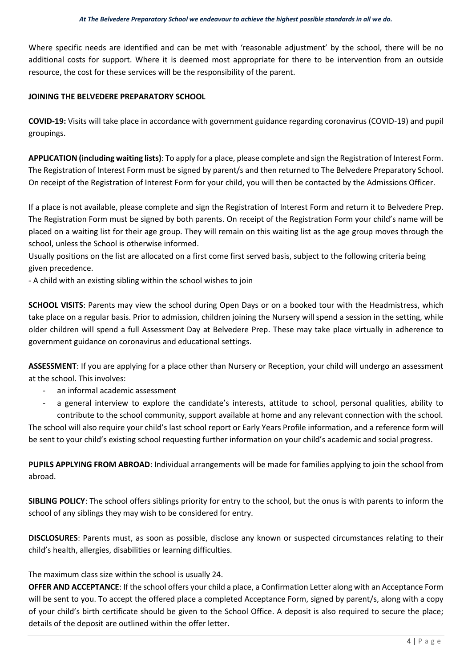Where specific needs are identified and can be met with 'reasonable adjustment' by the school, there will be no additional costs for support. Where it is deemed most appropriate for there to be intervention from an outside resource, the cost for these services will be the responsibility of the parent.

#### **JOINING THE BELVEDERE PREPARATORY SCHOOL**

**COVID-19:** Visits will take place in accordance with government guidance regarding coronavirus (COVID-19) and pupil groupings.

**APPLICATION (including waiting lists)**: To apply for a place, please complete and sign the Registration of Interest Form. The Registration of Interest Form must be signed by parent/s and then returned to The Belvedere Preparatory School. On receipt of the Registration of Interest Form for your child, you will then be contacted by the Admissions Officer.

If a place is not available, please complete and sign the Registration of Interest Form and return it to Belvedere Prep. The Registration Form must be signed by both parents. On receipt of the Registration Form your child's name will be placed on a waiting list for their age group. They will remain on this waiting list as the age group moves through the school, unless the School is otherwise informed.

Usually positions on the list are allocated on a first come first served basis, subject to the following criteria being given precedence.

- A child with an existing sibling within the school wishes to join

**SCHOOL VISITS**: Parents may view the school during Open Days or on a booked tour with the Headmistress, which take place on a regular basis. Prior to admission, children joining the Nursery will spend a session in the setting, while older children will spend a full Assessment Day at Belvedere Prep. These may take place virtually in adherence to government guidance on coronavirus and educational settings.

**ASSESSMENT**: If you are applying for a place other than Nursery or Reception, your child will undergo an assessment at the school. This involves:

- an informal academic assessment
- a general interview to explore the candidate's interests, attitude to school, personal qualities, ability to contribute to the school community, support available at home and any relevant connection with the school.

The school will also require your child's last school report or Early Years Profile information, and a reference form will be sent to your child's existing school requesting further information on your child's academic and social progress.

**PUPILS APPLYING FROM ABROAD**: Individual arrangements will be made for families applying to join the school from abroad.

**SIBLING POLICY**: The school offers siblings priority for entry to the school, but the onus is with parents to inform the school of any siblings they may wish to be considered for entry.

**DISCLOSURES**: Parents must, as soon as possible, disclose any known or suspected circumstances relating to their child's health, allergies, disabilities or learning difficulties.

The maximum class size within the school is usually 24.

**OFFER AND ACCEPTANCE**: If the school offers your child a place, a Confirmation Letter along with an Acceptance Form will be sent to you. To accept the offered place a completed Acceptance Form, signed by parent/s, along with a copy of your child's birth certificate should be given to the School Office. A deposit is also required to secure the place; details of the deposit are outlined within the offer letter.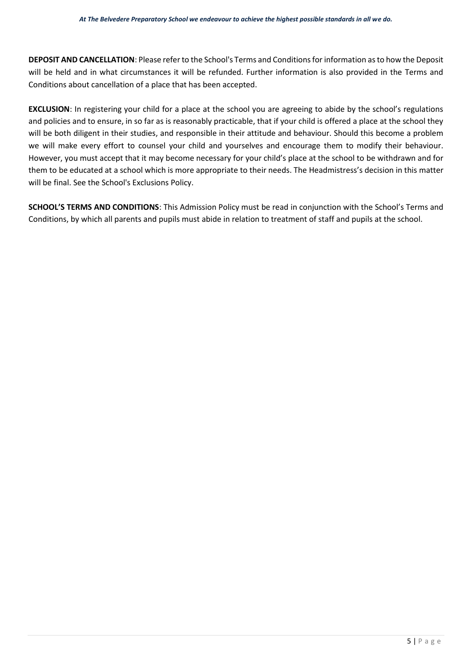**DEPOSIT AND CANCELLATION**: Please refer to the School's Terms and Conditions for information as to how the Deposit will be held and in what circumstances it will be refunded. Further information is also provided in the Terms and Conditions about cancellation of a place that has been accepted.

**EXCLUSION**: In registering your child for a place at the school you are agreeing to abide by the school's regulations and policies and to ensure, in so far as is reasonably practicable, that if your child is offered a place at the school they will be both diligent in their studies, and responsible in their attitude and behaviour. Should this become a problem we will make every effort to counsel your child and yourselves and encourage them to modify their behaviour. However, you must accept that it may become necessary for your child's place at the school to be withdrawn and for them to be educated at a school which is more appropriate to their needs. The Headmistress's decision in this matter will be final. See the School's Exclusions Policy.

**SCHOOL'S TERMS AND CONDITIONS**: This Admission Policy must be read in conjunction with the School's Terms and Conditions, by which all parents and pupils must abide in relation to treatment of staff and pupils at the school.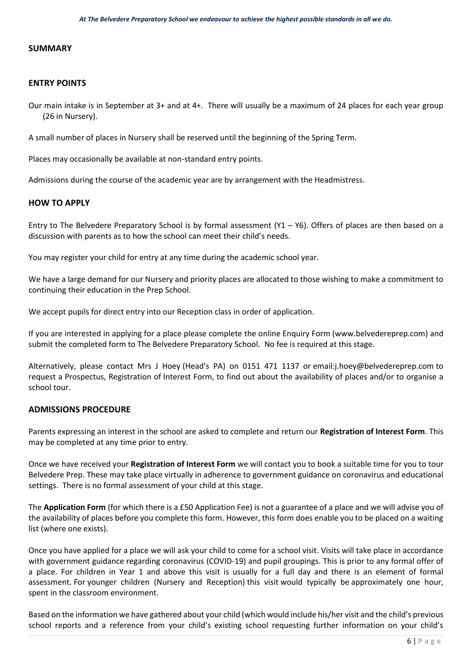#### **SUMMARY**

#### **ENTRY POINTS**

Our main intake is in September at 3+ and at 4+. There will usually be a maximum of 24 places for each year group (26 in Nursery).

A small number of places in Nursery shall be reserved until the beginning of the Spring Term.

Places may occasionally be available at non-standard entry points.

Admissions during the course of the academic year are by arrangement with the Headmistress.

#### **HOW TO APPLY**

Entry to The Belvedere Preparatory School is by formal assessment (Y1 – Y6). Offers of places are then based on a discussion with parents as to how the school can meet their child's needs.

You may register your child for entry at any time during the academic school year.

We have a large demand for our Nursery and priority places are allocated to those wishing to make a commitment to continuing their education in the Prep School.

We accept pupils for direct entry into our Reception class in order of application.

If you are interested in applying for a place please complete the online Enquiry Form [\(www.belvedereprep.com\)](http://www.belvedereprep.com/) and submit the completed form to The Belvedere Preparatory School. No fee is required at this stage.

Alternatively, please contact Mrs J Hoey (Head's PA) on 0151 471 1137 or email[:j.hoey@belvedereprep.com t](mailto:j.hoey@belvedereprep.com)o request a Prospectus, Registration of Interest Form, to find out about the availability of places and/or to organise a school tour.

#### **ADMISSIONS PROCEDURE**

Parents expressing an interest in the school are asked to complete and return our **Registration of Interest Form**. This may be completed at any time prior to entry.

Once we have received your **Registration of Interest Form** we will contact you to book a suitable time for you to tour Belvedere Prep. These may take place virtually in adherence to government guidance on coronavirus and educational settings. There is no formal assessment of your child at this stage.

The **Application Form** (for which there is a £50 Application Fee) is not a guarantee of a place and we will advise you of the availability of places before you complete this form. However, this form does enable you to be placed on a waiting list (where one exists).

Once you have applied for a place we will ask your child to come for a school visit. Visits will take place in accordance with government guidance regarding coronavirus (COVID-19) and pupil groupings. This is prior to any formal offer of a place. For children in Year 1 and above this visit is usually for a full day and there is an element of formal assessment. For younger children (Nursery and Reception) this visit would typically be approximately one hour, spent in the classroom environment.

Based on the information we have gathered about your child (which would include his/her visit and the child's previous school reports and a reference from your child's existing school requesting further information on your child's